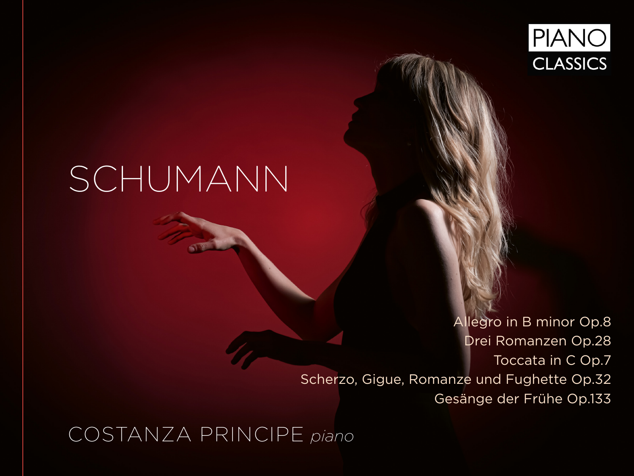

# SCHUMANN

Allegro in B minor Op.8 Drei Romanzen Op.28 Toccata in C Op.7 Scherzo, Gigue, Romanze und Fughette Op.32 Gesänge der Frühe Op.133

COSTANZA PRINCIPE *piano*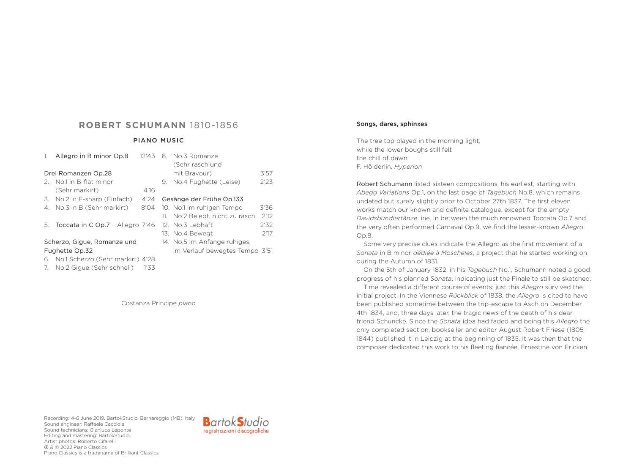## **ROBERT SCHUMANN** 1810-1856

#### PIANO MUSIC

|                             | Allegro in B minor Op.8             | 12'43 |                              | 8. No.3 Romanze                 |      |  |
|-----------------------------|-------------------------------------|-------|------------------------------|---------------------------------|------|--|
|                             |                                     |       |                              | (Sehr rasch und                 |      |  |
| Drei Romanzen Op.28         |                                     |       |                              | mit Bravour)                    | 3'57 |  |
| 2.                          | No.1 in B-flat minor                |       |                              | 9. No.4 Fughette (Leise)        | 2'23 |  |
|                             | (Sehr markirt)                      | 4'16  |                              |                                 |      |  |
| 3.                          | No.2 in F-sharp (Einfach)           | 4'24  |                              | Gesänge der Frühe Op.133        |      |  |
| 4.                          | No.3 in B (Sehr markirt)            | 8'04  |                              | 10. No.1 Im ruhigen Tempo       | 3'36 |  |
|                             |                                     |       |                              | 11. No.2 Belebt, nicht zu rasch | 2'12 |  |
|                             | 5. Toccata in C Op.7 - Allegro 7'46 |       |                              | $12.$ No. $3$ Lebhaft           | 2'32 |  |
|                             |                                     |       |                              | 13. No.4 Bewegt                 | 2'17 |  |
| Scherzo, Gigue, Romanze und |                                     |       | 14. No.5 Im Anfange ruhiges, |                                 |      |  |
| Fughette Op.32              |                                     |       |                              | im Verlauf bewegtes Tempo 3'51  |      |  |
|                             | 6. No.1 Scherzo (Sehr markirt) 4'28 |       |                              |                                 |      |  |
| 7.                          | No.2 Gigue (Sehr schnell)           | 1'33  |                              |                                 |      |  |

Costanza Principe *piano*

#### Songs, dares, sphinxes

The tree top played in the morning light, while the lower boughs still felt the chill of dawn. F. Hölderlin, *Hyperion*

Robert Schumann listed sixteen compositions, his earliest, starting with *Abegg Variations* Op.1, on the last page of *Tagebuch* No.8, which remains undated but surely slightly prior to October 27th 1837. The first eleven works match our known and definite catalogue, except for the empty *Davidsbündlertänze* line. In between the much renowned Toccata Op.7 and the very often performed Carnaval Op.9, we find the lesser-known *Allegro* Op.8.

Some very precise clues indicate the Allegro as the first movement of a *Sonata* in B minor *dédiée à Moscheles*, a project that he started working on during the Autumn of 1831.

On the 5th of January 1832, in his *Tagebuch* No.1, Schumann noted a good progress of his planned *Sonata*, indicating just the Finale to still be sketched.

Time revealed a different course of events: just this *Allegro* survived the initial project. In the Viennese *Rückblick* of 1838, the *Allegro* is cited to have been published sometime between the trip-escape to Asch on December 4th 1834, and, three days later, the tragic news of the death of his dear friend Schuncke. Since the *Sonata* idea had faded and being this *Allegro* the only completed section, bookseller and editor August Robert Friese (1805- 1844) published it in Leipzig at the beginning of 1835. It was then that the composer dedicated this work to his fleeting fiancée, Ernestine von Fricken

Recording: 4-6 June 2019, BartokStudio, Bernareggio (MB), Italy Sound engineer: Raffaele Cacciola Sound technicians: Gianluca Laponte Editing and mastering: BartokStudio Artist photos: Roberto Cifarelli p & © 2022 Piano Classics Piano Classics is a tradename of Brilliant Classics

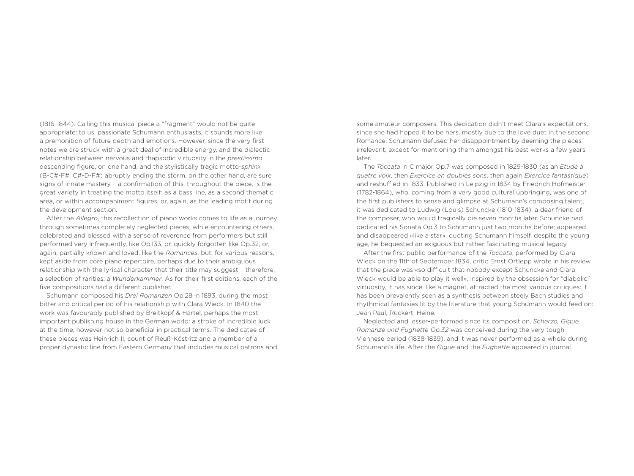(1816-1844). Calling this musical piece a "fragment" would not be quite appropriate: to us, passionate Schumann enthusiasts, it sounds more like a premonition of future depth and emotions. However, since the very first notes we are struck with a great deal of incredible energy, and the dialectic relationship between nervous and rhapsodic virtuosity in the *prestissimo* descending figure, on one hand, and the stylistically tragic motto-*sphinx* (B-C#-F#; C#-D-F#) abruptly ending the storm, on the other hand, are sure signs of innate mastery – a confirmation of this, throughout the piece, is the great variety in treating the motto itself: as a bass line, as a second thematic area, or within accompaniment figures, or, again, as the leading motif during the development section.

After the *Allegro*, this recollection of piano works comes to life as a journey through sometimes completely neglected pieces, while encountering others, celebrated and blessed with a sense of reverence from performers but still performed very infrequently, like Op.133, or, quickly forgotten like Op.32, or, again, partially known and loved, like the *Romances*, but, for various reasons, kept aside from core piano repertoire, perhaps due to their ambiguous relationship with the lyrical character that their title may suggest - therefore, a selection of rarities: a *Wunderkammer*. As for their first editions, each of the five compositions had a different publisher.

Schumann composed his *Drei Romanzen* Op.28 in 1893, during the most bitter and critical period of his relationship with Clara Wieck. In 1840 the work was favourably published by Breitkopf & Härtel, perhaps the most important publishing house in the German world: a stroke of incredible luck at the time, however not so beneficial in practical terms. The dedicatee of these pieces was Heinrich II, count of Reuß-Köstritz and a member of a proper dynastic line from Eastern Germany that includes musical patrons and some amateur composers. This dedication didn't meet Clara's expectations, since she had hoped it to be hers, mostly due to the love duet in the second Romance; Schumann defused her disappointment by deeming the pieces irrelevant, except for mentioning them amongst his best works a few years later.

The *Toccata* in C major Op.7 was composed in 1829-1830 (as an *Etude à quatre voix*, then *Exercice en doubles sons*, then again *Exercice fantastique*) and reshuffled in 1833. Published in Leipzig in 1834 by Friedrich Hofmeister (1782-1864), who, coming from a very good cultural upbringing, was one of the first publishers to sense and glimpse at Schumann's composing talent, it was dedicated to Ludwig (Louis) Schuncke (1810-1834), a dear friend of the composer, who would tragically die seven months later. Schuncke had dedicated his Sonata Op.3 to Schumann just two months before; appeared and disappeared «like a star», quoting Schumann himself, despite the young age, he bequested an exiguous but rather fascinating musical legacy.

After the first public performance of the *Toccata*, performed by Clara Wieck on the 11th of September 1834, critic Ernst Ortlepp wrote in his review that the piece was «so difficult that nobody except Schuncke and Clara Wieck would be able to play it well». Inspired by the obsession for "diabolic" virtuosity, it has since, like a magnet, attracted the most various critiques: it has been prevalently seen as a synthesis between steely Bach studies and rhythmical fantasies lit by the literature that young Schumann would feed on: Jean Paul, Rückert, Heine.

Neglected and lesser-performed since its composition, *Scherzo, Gigue, Romanze und Fughette Op.32* was conceived during the very tough Viennese period (1838-1839), and it was never performed as a whole during Schumann's life. After the *Gigue* and the *Fughette* appeared in journal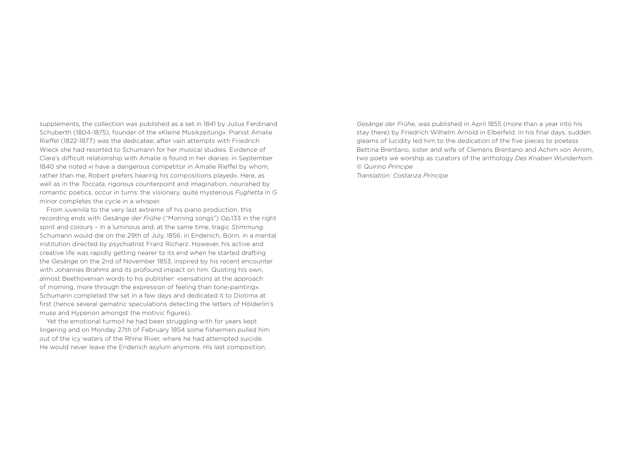supplements, the collection was published as a set in 1841 by Julius Ferdinand Schuberth (1804-1875), founder of the «Kleine Musikzeitung». Pianist Amalie Rieffel (1822-1877) was the dedicatee; after vain attempts with Friedrich Wieck she had resorted to Schumann for her musical studies. Evidence of Clara's difficult relationship with Amalie is found in her diaries: in September 1840 she noted «I have a dangerous competitor in Amalie Rieffel by whom, rather than me, Robert prefers hearing his compositions played». Here, as well as in the *Toccata*, rigorous counterpoint and imagination, nourished by romantic poetics, occur in turns: the visionary, quite mysterious *Fughetta* in G minor completes the cycle in a whisper.

From *iuvenilia* to the very last extreme of his piano production, this recording ends with *Gesänge der Frühe* ("Morning songs") Op.133 in the right spirit and colours – in a luminous and, at the same time, tragic *Stimmung*. Schumann would die on the 29th of July, 1856, in Endenich, Bonn, in a mental institution directed by psychiatrist Franz Richarz. However, his active and creative life was rapidly getting nearer to its end when he started drafting the *Gesänge* on the 2nd of November 1853, inspired by his recent encounter with Johannes Brahms and its profound impact on him. Quoting his own, almost Beethovenian words to his publisher: «sensations at the approach of morning, more through the expression of feeling than tone-painting». Schumann completed the set in a few days and dedicated it to Diotima at first (hence several gematric speculations detecting the letters of Hölderlin's muse and Hyperion amongst the motivic figures).

Yet the emotional turmoil he had been struggling with for years kept lingering and on Monday 27th of February 1854 some fishermen pulled him out of the icy waters of the Rhine River, where he had attempted suicide. He would never leave the Endenich asylum anymore. His last composition,

*Gesänge der Frühe*, was published in April 1855 (more than a year into his stay there) by Friedrich Wilhelm Arnold in Elberfeld. In his final days, sudden gleams of lucidity led him to the dedication of the five pieces to poetess Bettina Brentano, sister and wife of Clemens Brentano and Achim von Arnim, two poets we worship as curators of the anthology *Des Knaben Wunderhorn*. *© Quirino Principe*

*Translation: Costanza Principe*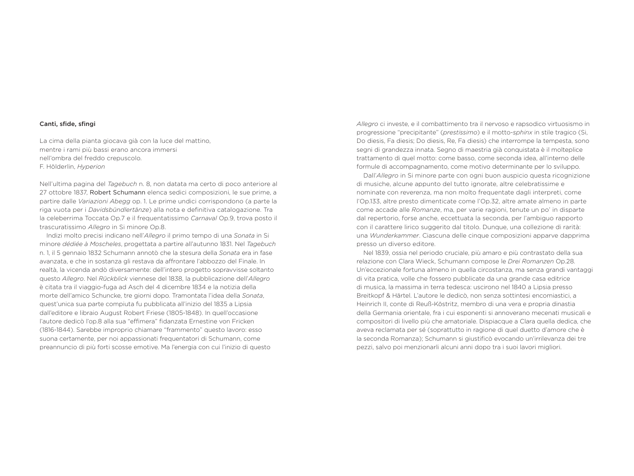#### Canti, sfide, sfingi

La cima della pianta giocava già con la luce del mattino, mentre i rami più bassi erano ancora immersi nell'ombra del freddo crepuscolo. F. Hölderlin, *Hyperion*

Nell'ultima pagina del *Tagebuch* n. 8, non datata ma certo di poco anteriore al 27 ottobre 1837, Robert Schumann elenca sedici composizioni, le sue prime, a partire dalle *Variazioni Abegg* op. 1. Le prime undici corrispondono (a parte la riga vuota per i *Davidsbündlertänze*) alla nota e definitiva catalogazione. Tra la celeberrima Toccata Op.7 e il frequentatissimo *Carnaval* Op.9, trova posto il trascuratissimo *Allegro* in Si minore Op.8.

Indizi molto precisi indicano nell'*Allegro* il primo tempo di una *Sonata* in Si minore *dédiée à Moscheles*, progettata a partire all'autunno 1831. Nel *Tagebuch* n. 1, il 5 gennaio 1832 Schumann annotò che la stesura della *Sonata* era in fase avanzata, e che in sostanza gli restava da affrontare l'abbozzo del Finale. In realtà, la vicenda andò diversamente: dell'intero progetto sopravvisse soltanto questo *Allegro*. Nel *Rückblick* viennese del 1838, la pubblicazione dell'*Allegro* è citata tra il viaggio-fuga ad Asch del 4 dicembre 1834 e la notizia della morte dell'amico Schuncke, tre giorni dopo. Tramontata l'idea della *Sonata*, quest'unica sua parte compiuta fu pubblicata all'inizio del 1835 a Lipsia dall'editore e libraio August Robert Friese (1805-1848). In quell'occasione l'autore dedicò l'op.8 alla sua "effimera" fidanzata Ernestine von Fricken (1816-1844). Sarebbe improprio chiamare "frammento" questo lavoro: esso suona certamente, per noi appassionati frequentatori di Schumann, come preannuncio di più forti scosse emotive. Ma l'energia con cui l'inizio di questo

*Allegro* ci investe, e il combattimento tra il nervoso e rapsodico virtuosismo in progressione "precipitante" (*prestissimo*) e il motto-*sphinx* in stile tragico (Si, Do diesis, Fa diesis; Do diesis, Re, Fa diesis) che interrompe la tempesta, sono segni di grandezza innata. Segno di maestria già conquistata è il molteplice trattamento di quel motto: come basso, come seconda idea, all'interno delle formule di accompagnamento, come motivo determinante per lo sviluppo.

Dall'*Allegro* in Si minore parte con ogni buon auspicio questa ricognizione di musiche, alcune appunto del tutto ignorate, altre celebratissime e nominate con reverenza, ma non molto frequentate dagli interpreti, come l'Op.133, altre presto dimenticate come l'Op.32, altre amate almeno in parte come accade alle *Romanze*, ma, per varie ragioni, tenute un po' in disparte dal repertorio, forse anche, eccettuata la seconda, per l'ambiguo rapporto con il carattere lirico suggerito dal titolo. Dunque, una collezione di rarità: una *Wunderkammer*. Ciascuna delle cinque composizioni apparve dapprima presso un diverso editore.

Nel 1839, ossia nel periodo cruciale, più amaro e più contrastato della sua relazione con Clara Wieck, Schumann compose le *Drei Romanzen* Op.28. Un'eccezionale fortuna almeno in quella circostanza, ma senza grandi vantaggi di vita pratica, volle che fossero pubblicate da una grande casa editrice di musica, la massima in terra tedesca: uscirono nel 1840 a Lipsia presso Breitkopf & Härtel. L'autore le dedicò, non senza sottintesi encomiastici, a Heinrich II, conte di Reuß-Köstritz, membro di una vera e propria dinastia della Germania orientale, fra i cui esponenti si annoverano mecenati musicali e compositori di livello più che amatoriale. Dispiacque a Clara quella dedica, che aveva reclamata per sé (soprattutto in ragione di quel duetto d'amore che è la seconda Romanza); Schumann si giustificò evocando un'irrilevanza dei tre pezzi, salvo poi menzionarli alcuni anni dopo tra i suoi lavori migliori.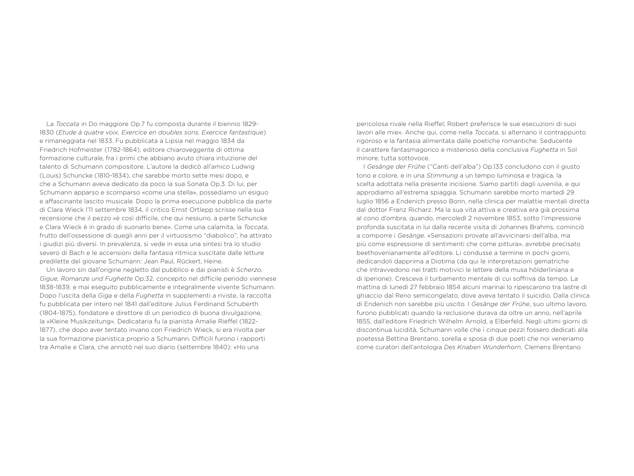La *Toccata* in Do maggiore Op.7 fu composta durante il biennio 1829- 1830 (*Etude à quatre voix, Exercice en doubles sons, Exercice fantastique*) e rimaneggiata nel 1833. Fu pubblicata a Lipsia nel maggio 1834 da Friedrich Hofmeister (1782-1864), editore chiaroveggente di ottima formazione culturale, fra i primi che abbiano avuto chiara intuizione del talento di Schumann compositore. L'autore la dedicò all'amico Ludwig (Louis) Schuncke (1810-1834), che sarebbe morto sette mesi dopo, e che a Schumann aveva dedicato da poco la sua Sonata Op.3. Di lui, per Schumann apparso e scomparso «come una stella», possediamo un esiguo e affascinante lascito musicale. Dopo la prima esecuzione pubblica da parte di Clara Wieck l'11 settembre 1834, il critico Ernst Ortlepp scrisse nella sua recensione che il pezzo «è così difficile, che qui nessuno, a parte Schuncke e Clara Wieck è in grado di suonarlo bene». Come una calamita, la *Toccata*, frutto dell'ossessione di quegli anni per il virtuosismo "diabolico", ha attirato i giudizi più diversi. In prevalenza, si vede in essa una sintesi tra lo studio severo di Bach e le accensioni della fantasia ritmica suscitate dalle letture predilette del giovane Schumann: Jean Paul, Rückert, Heine.

Un lavoro sin dall'origine negletto dal pubblico e dai pianisti è *Scherzo, Gigue, Romanze und Fughette* Op.32, concepito nel difficile periodo viennese 1838-1839, e mai eseguito pubblicamente e integralmente vivente Schumann. Dopo l'uscita della *Giga* e della *Fughetta* in supplementi a riviste, la raccolta fu pubblicata per intero nel 1841 dall'editore Julius Ferdinand Schuberth (1804-1875), fondatore e direttore di un periodico di buona divulgazione, la «Kleine Musikzeitung». Dedicataria fu la pianista Amalie Rieffel (1822- 1877), che dopo aver tentato invano con Friedrich Wieck, si era rivolta per la sua formazione pianistica proprio a Schumann. Difficili furono i rapporti tra Amalie e Clara, che annotò nel suo diario (settembre 1840): «Ho una

pericolosa rivale nella Rieffel; Robert preferisce le sue esecuzioni di suoi lavori alle mie». Anche qui, come nella *Toccata*, si alternano il contrappunto rigoroso e la fantasia alimentata dalle poetiche romantiche. Seducente il carattere fantasmagorico e misterioso della conclusiva *Fughetta* in Sol minore, tutta sottovoce.

I *Gesänge der Frühe* ("Canti dell'alba") Op.133 concludono con il giusto tono e colore, e in una *Stimmung* a un tempo luminosa e tragica, la scelta adottata nella presente incisione. Siamo partiti dagli *iuvenilia*, e qui approdiamo all'estrema spiaggia. Schumann sarebbe morto martedì 29 luglio 1856 a Endenich presso Bonn, nella clinica per malattie mentali diretta dal dottor Franz Richarz. Ma la sua vita attiva e creativa era già prossima al cono d'ombra, quando, mercoledì 2 novembre 1853, sotto l'impressione profonda suscitata in lui dalla recente visita di Johannes Brahms, cominciò a comporre i *Gesänge*. «Sensazioni provate all'avvicinarsi dell'alba, ma più come espressione di sentimenti che come pittura», avrebbe precisato beethovenianamente all'editore. Li condusse a termine in pochi giorni, dedicandoli dapprima a Diotima (da qui le interpretazioni gematriche che intravvedono nei tratti motivici le lettere della musa hölderliniana e di Iperione). Cresceva il turbamento mentale di cui soffriva da tempo. La mattina di lunedì 27 febbraio 1854 alcuni marinai lo ripescarono tra lastre di ghiaccio dal Reno semicongelato, dove aveva tentato il suicidio. Dalla clinica di Endenich non sarebbe più uscito. I *Gesänge der Frühe*, suo ultimo lavoro, furono pubblicati quando la reclusione durava da oltre un anno, nell'aprile 1855, dall'editore Friedrich Wilhelm Arnold, a Elberfeld. Negli ultimi giorni di discontinua lucidità, Schumann volle che i cinque pezzi fossero dedicati alla poetessa Bettina Brentano, sorella e sposa di due poeti che noi veneriamo come curatori dell'antologia *Des Knaben Wunderhorn*, Clemens Brentano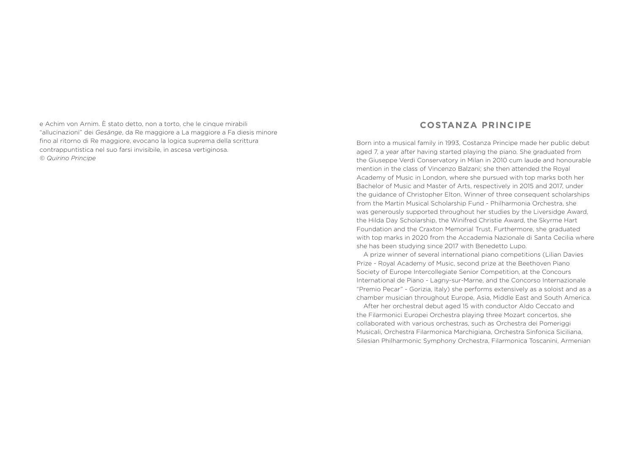e Achim von Arnim. È stato detto, non a torto, che le cinque mirabili "allucinazioni" dei *Gesänge*, da Re maggiore a La maggiore a Fa diesis minore fino al ritorno di Re maggiore, evocano la logica suprema della scrittura contrappuntistica nel suo farsi invisibile, in ascesa vertiginosa. *© Quirino Principe*

### **COSTANZA PRINCIPE**

Born into a musical family in 1993, Costanza Principe made her public debut aged 7, a year after having started playing the piano. She graduated from the Giuseppe Verdi Conservatory in Milan in 2010 cum laude and honourable mention in the class of Vincenzo Balzani; she then attended the Royal Academy of Music in London, where she pursued with top marks both her Bachelor of Music and Master of Arts, respectively in 2015 and 2017, under the guidance of Christopher Elton. Winner of three consequent scholarships from the Martin Musical Scholarship Fund - Philharmonia Orchestra, she was generously supported throughout her studies by the Liversidge Award, the Hilda Day Scholarship, the Winifred Christie Award, the Skyrme Hart Foundation and the Craxton Memorial Trust. Furthermore, she graduated with top marks in 2020 from the Accademia Nazionale di Santa Cecilia where she has been studying since 2017 with Benedetto Lupo.

A prize winner of several international piano competitions (Lilian Davies Prize - Royal Academy of Music, second prize at the Beethoven Piano Society of Europe Intercollegiate Senior Competition, at the Concours International de Piano - Lagny-sur-Marne, and the Concorso Internazionale "Premio Pecar" - Gorizia, Italy) she performs extensively as a soloist and as a chamber musician throughout Europe, Asia, Middle East and South America.

After her orchestral debut aged 15 with conductor Aldo Ceccato and the Filarmonici Europei Orchestra playing three Mozart concertos, she collaborated with various orchestras, such as Orchestra dei Pomeriggi Musicali, Orchestra Filarmonica Marchigiana, Orchestra Sinfonica Siciliana, Silesian Philharmonic Symphony Orchestra, Filarmonica Toscanini, Armenian